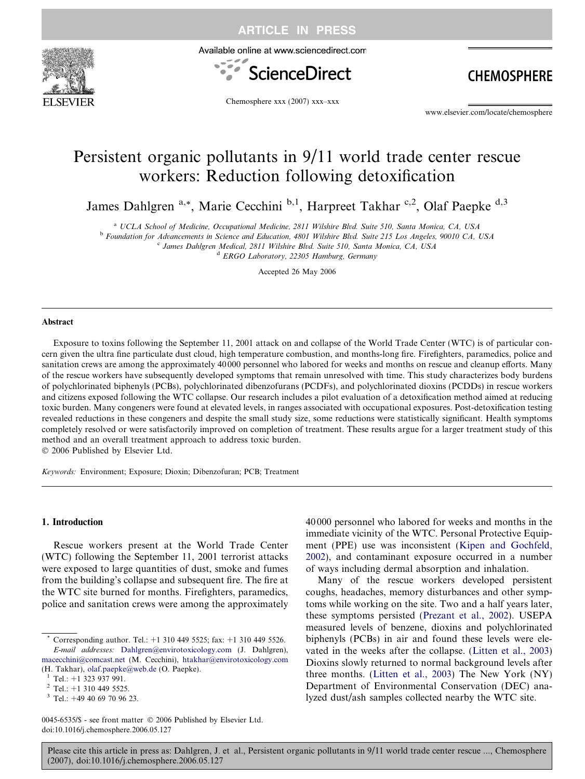

ARTICLE IN PRESS

Available online at www.sciencedirect.com



**CHEMOSPHERE** 

Chemosphere xxx (2007) xxx–xxx

www.elsevier.com/locate/chemosphere

# Persistent organic pollutants in 9/11 world trade center rescue workers: Reduction following detoxification

James Dahlgren <sup>a,\*</sup>, Marie Cecchini <sup>b,1</sup>, Harpreet Takhar <sup>c,2</sup>, Olaf Paepke <sup>d,3</sup>

<sup>a</sup> UCLA School of Medicine, Occupational Medicine, 2811 Wilshire Blvd. Suite 510, Santa Monica, CA, USA

<sup>b</sup> Foundation for Advancements in Science and Education, 4801 Wilshire Blvd. Suite 215 Los Angeles, 90010 CA, USA

<sup>c</sup> James Dahlgren Medical, 2811 Wilshire Blvd. Suite 510, Santa Monica, CA, USA

<sup>d</sup> ERGO Laboratory, 22305 Hamburg, Germany

Accepted 26 May 2006

#### Abstract

Exposure to toxins following the September 11, 2001 attack on and collapse of the World Trade Center (WTC) is of particular concern given the ultra fine particulate dust cloud, high temperature combustion, and months-long fire. Firefighters, paramedics, police and sanitation crews are among the approximately 40 000 personnel who labored for weeks and months on rescue and cleanup efforts. Many of the rescue workers have subsequently developed symptoms that remain unresolved with time. This study characterizes body burdens of polychlorinated biphenyls (PCBs), polychlorinated dibenzofurans (PCDFs), and polychlorinated dioxins (PCDDs) in rescue workers and citizens exposed following the WTC collapse. Our research includes a pilot evaluation of a detoxification method aimed at reducing toxic burden. Many congeners were found at elevated levels, in ranges associated with occupational exposures. Post-detoxification testing revealed reductions in these congeners and despite the small study size, some reductions were statistically significant. Health symptoms completely resolved or were satisfactorily improved on completion of treatment. These results argue for a larger treatment study of this method and an overall treatment approach to address toxic burden.  $© 2006$  Published by Elsevier Ltd.

Keywords: Environment; Exposure; Dioxin; Dibenzofuran; PCB; Treatment

### 1. Introduction

Rescue workers present at the World Trade Center (WTC) following the September 11, 2001 terrorist attacks were exposed to large quantities of dust, smoke and fumes from the building's collapse and subsequent fire. The fire at the WTC site burned for months. Firefighters, paramedics, police and sanitation crews were among the approximately

0045-6535/\$ - see front matter © 2006 Published by Elsevier Ltd. doi:10.1016/j.chemosphere.2006.05.127

40 000 personnel who labored for weeks and months in the immediate vicinity of the WTC. Personal Protective Equipment (PPE) use was inconsistent ([Kipen and Gochfeld,](#page-5-0) [2002](#page-5-0)), and contaminant exposure occurred in a number of ways including dermal absorption and inhalation.

Many of the rescue workers developed persistent coughs, headaches, memory disturbances and other symptoms while working on the site. Two and a half years later, these symptoms persisted ([Prezant et al., 2002\)](#page-5-0). USEPA measured levels of benzene, dioxins and polychlorinated biphenyls (PCBs) in air and found these levels were elevated in the weeks after the collapse. [\(Litten et al., 2003](#page-5-0)) Dioxins slowly returned to normal background levels after three months. ([Litten et al., 2003\)](#page-5-0) The New York (NY) Department of Environmental Conservation (DEC) analyzed dust/ash samples collected nearby the WTC site.

Corresponding author. Tel.: +1 310 449 5525; fax: +1 310 449 5526. E-mail addresses: [Dahlgren@envirotoxicology.com](mailto:Dahlgren@envirotoxicology.com) (J. Dahlgren), [macecchini@comcast.net](mailto:macecchini@comcast.net) (M. Cecchini), [htakhar@envirotoxicology.com](mailto:htakhar@envirotoxicology.com) (H. Takhar), [olaf.paepke@web.de](mailto:olaf.paepke@web.de) (O. Paepke).<br>
<sup>1</sup> Tel.: +1 323 937 991.<br>
<sup>2</sup> Tel.: +1 310 449 5525.<br>
<sup>3</sup> Tel.: +49 40 69 70 96 23.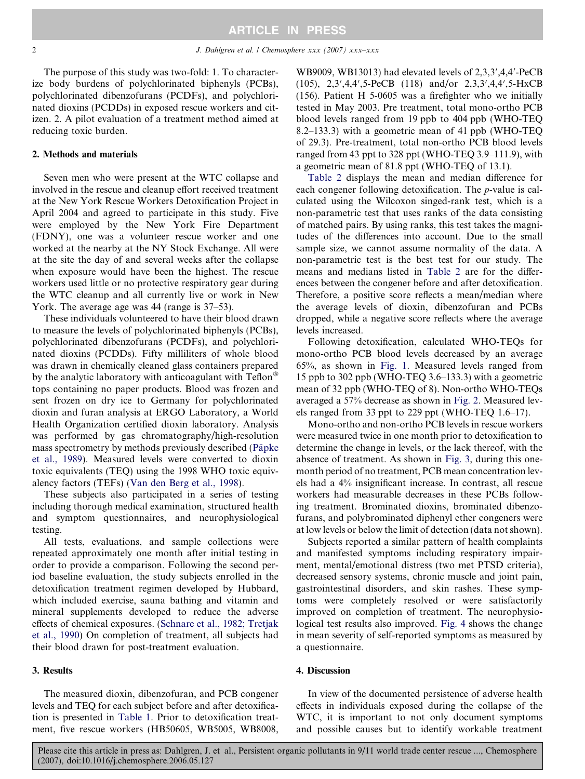The purpose of this study was two-fold: 1. To characterize body burdens of polychlorinated biphenyls (PCBs), polychlorinated dibenzofurans (PCDFs), and polychlorinated dioxins (PCDDs) in exposed rescue workers and citizen. 2. A pilot evaluation of a treatment method aimed at reducing toxic burden.

## 2. Methods and materials

Seven men who were present at the WTC collapse and involved in the rescue and cleanup effort received treatment at the New York Rescue Workers Detoxification Project in April 2004 and agreed to participate in this study. Five were employed by the New York Fire Department (FDNY), one was a volunteer rescue worker and one worked at the nearby at the NY Stock Exchange. All were at the site the day of and several weeks after the collapse when exposure would have been the highest. The rescue workers used little or no protective respiratory gear during the WTC cleanup and all currently live or work in New York. The average age was 44 (range is 37–53).

These individuals volunteered to have their blood drawn to measure the levels of polychlorinated biphenyls (PCBs), polychlorinated dibenzofurans (PCDFs), and polychlorinated dioxins (PCDDs). Fifty milliliters of whole blood was drawn in chemically cleaned glass containers prepared by the analytic laboratory with anticoagulant with  $Teflon^{\otimes}$ tops containing no paper products. Blood was frozen and sent frozen on dry ice to Germany for polychlorinated dioxin and furan analysis at ERGO Laboratory, a World Health Organization certified dioxin laboratory. Analysis was performed by gas chromatography/high-resolution mass spectrometry by methods previously described (Päpke [et al., 1989\)](#page-5-0). Measured levels were converted to dioxin toxic equivalents (TEQ) using the 1998 WHO toxic equivalency factors (TEFs) ([Van den Berg et al., 1998\)](#page-5-0).

These subjects also participated in a series of testing including thorough medical examination, structured health and symptom questionnaires, and neurophysiological testing.

All tests, evaluations, and sample collections were repeated approximately one month after initial testing in order to provide a comparison. Following the second period baseline evaluation, the study subjects enrolled in the detoxification treatment regimen developed by Hubbard, which included exercise, sauna bathing and vitamin and mineral supplements developed to reduce the adverse effects of chemical exposures. ([Schnare et al., 1982; Tretjak](#page-5-0) [et al., 1990\)](#page-5-0) On completion of treatment, all subjects had their blood drawn for post-treatment evaluation.

## 3. Results

The measured dioxin, dibenzofuran, and PCB congener levels and TEQ for each subject before and after detoxification is presented in [Table 1](#page-2-0). Prior to detoxification treatment, five rescue workers (HB50605, WB5005, WB8008,

WB9009, WB13013) had elevated levels of  $2,3,3',4,4'$ -PeCB  $(105)$ ,  $2,3',4,4',5$ -PeCB  $(118)$  and/or  $2,3,3',4,4',5$ -HxCB (156). Patient H 5-0605 was a firefighter who we initially tested in May 2003. Pre treatment, total mono-ortho PCB blood levels ranged from 19 ppb to 404 ppb (WHO-TEQ 8.2–133.3) with a geometric mean of 41 ppb (WHO-TEQ of 29.3). Pre-treatment, total non-ortho PCB blood levels ranged from 43 ppt to 328 ppt (WHO-TEQ 3.9–111.9), with a geometric mean of 81.8 ppt (WHO-TEQ of 13.1).

[Table 2](#page-3-0) displays the mean and median difference for each congener following detoxification. The p-value is calculated using the Wilcoxon singed-rank test, which is a non-parametric test that uses ranks of the data consisting of matched pairs. By using ranks, this test takes the magnitudes of the differences into account. Due to the small sample size, we cannot assume normality of the data. A non-parametric test is the best test for our study. The means and medians listed in [Table 2](#page-3-0) are for the differences between the congener before and after detoxification. Therefore, a positive score reflects a mean/median where the average levels of dioxin, dibenzofuran and PCBs dropped, while a negative score reflects where the average levels increased.

Following detoxification, calculated WHO-TEQs for mono-ortho PCB blood levels decreased by an average 65%, as shown in [Fig. 1](#page-3-0). Measured levels ranged from 15 ppb to 302 ppb (WHO-TEQ 3.6–133.3) with a geometric mean of 32 ppb (WHO-TEQ of 8). Non-ortho WHO-TEQs averaged a 57% decrease as shown in [Fig. 2.](#page-3-0) Measured levels ranged from 33 ppt to 229 ppt (WHO-TEQ 1.6–17).

Mono-ortho and non-ortho PCB levels in rescue workers were measured twice in one month prior to detoxification to determine the change in levels, or the lack thereof, with the absence of treatment. As shown in [Fig. 3,](#page-3-0) during this onemonth period of no treatment, PCB mean concentration levels had a 4% insignificant increase. In contrast, all rescue workers had measurable decreases in these PCBs following treatment. Brominated dioxins, brominated dibenzofurans, and polybrominated diphenyl ether congeners were at low levels or below the limit of detection (data not shown).

Subjects reported a similar pattern of health complaints and manifested symptoms including respiratory impairment, mental/emotional distress (two met PTSD criteria), decreased sensory systems, chronic muscle and joint pain, gastrointestinal disorders, and skin rashes. These symptoms were completely resolved or were satisfactorily improved on completion of treatment. The neurophysiological test results also improved. [Fig. 4](#page-4-0) shows the change in mean severity of self-reported symptoms as measured by a questionnaire.

## 4. Discussion

In view of the documented persistence of adverse health effects in individuals exposed during the collapse of the WTC, it is important to not only document symptoms and possible causes but to identify workable treatment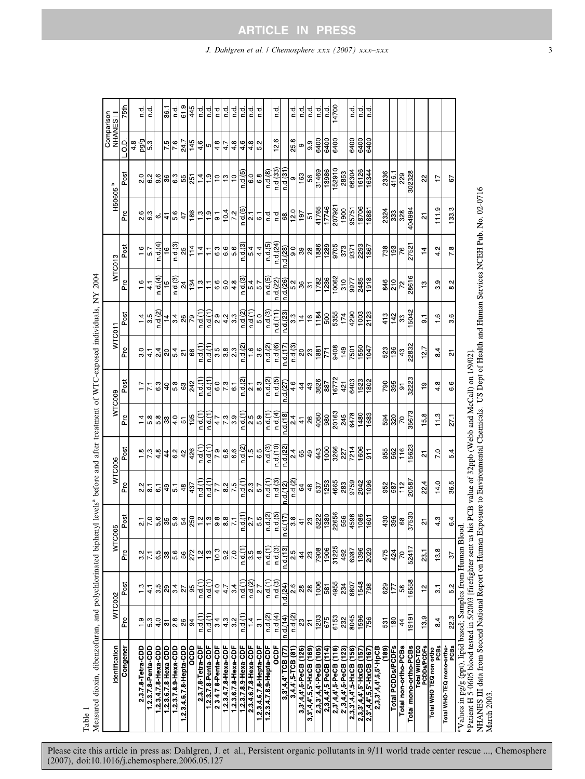<span id="page-2-0"></span>

| Measured dioxin, dibenzofuran, and polychlorinated biphenyl levels <sup>a</sup> before and after treatment of WTC-exposed individuals, NY 2004                                                                           |                  |                 |                 |                                                        |                              |                         |                  |                         |                 |                    |                   |                |                       |                     |                           |                         |
|--------------------------------------------------------------------------------------------------------------------------------------------------------------------------------------------------------------------------|------------------|-----------------|-----------------|--------------------------------------------------------|------------------------------|-------------------------|------------------|-------------------------|-----------------|--------------------|-------------------|----------------|-----------------------|---------------------|---------------------------|-------------------------|
| Identification                                                                                                                                                                                                           |                  | WTC002          | ξ               | <b>COO5</b>                                            |                              | WTC006                  | WTC009           |                         | WTC011          |                    | WTC013            |                |                       | H50605 <sup>b</sup> | Comparison<br>III SINAHAL |                         |
| Congener                                                                                                                                                                                                                 | Pre              | Post            | Pre             | Post                                                   | Pre                          | Post                    | Pre              | Post                    | Pre             | Post               | Pre               | Post           | Pre                   | Post                | a<br>O                    | 75th                    |
| 2378 Tetra CDD                                                                                                                                                                                                           | $\frac{0}{1}$    | $\frac{3}{2}$   | $3.2$           | $\overline{2}$                                         | 2.2                          | $\frac{8}{1}$           | 14               | $\overline{1}$ .        | 30              | $\frac{4}{1}$      | 1.6               | $\frac{6}{1}$  | 2.6                   | 20                  | pg/pa<br>48               | p q                     |
| 12378-Penta-CDD                                                                                                                                                                                                          | 5.3              | $\frac{1}{4}$   | $\overline{71}$ | 7.0                                                    | $\overline{8}$               | 73                      | 58               | $\overline{71}$         | $\frac{1}{4}$   | 3.5                | $\frac{1}{4}$     | 57             | 63                    | 6.2                 | 5.3                       | $\frac{1}{2}$           |
| 123478 Hexa-CDD                                                                                                                                                                                                          | $\frac{0}{4}$    | 3.5             | 6.5             | 5.6                                                    | 67                           | 48                      | 58               | 63                      | 24              | n d(2)             | n d(4)            | n d(4)         | $\ddot{\circ}$        | 9.6                 |                           |                         |
| 123678 Hexa-CDD                                                                                                                                                                                                          | 5                | 29              | 38              | 35                                                     | 49                           | $\frac{4}{3}$           | 33               | $\overline{4}$          | $\overline{a}$  | $\overline{4}$     | $\frac{5}{2}$     | $\frac{6}{1}$  | $\frac{1}{4}$         | ని                  | 7.5                       | 361                     |
| 123789HexaCDD                                                                                                                                                                                                            | $\frac{8}{2}$    | 34              | 5.6             | 59                                                     | $\overline{5}$ .             | 6.2                     | 40               | 58                      | 54              | 34                 | n d (3)           | n d (3)        | 56                    | 63                  | $\frac{6}{7}$             | ਰ<br>c                  |
| 1234678 Hepta-CDD                                                                                                                                                                                                        | 26               | 77              | 56              | 54                                                     | 48                           | 42                      | 57               | 63                      | $\frac{1}{2}$   | 26                 | त्र               | ಸ              | 47                    | 55                  | 247                       | 619                     |
| acoo                                                                                                                                                                                                                     | 3                | 95              | 272             | 250                                                    | 437                          | 426                     | 195              | 242                     | 66              | 79                 | 134               | 114            | 186                   | 251                 | 145                       | 445                     |
| 2378 Tetra CDF                                                                                                                                                                                                           | n d(1)           | $n d$ (1)       | $\frac{2}{1}$   | $\frac{2}{1}$                                          | $n d$ (1)                    | n a(1)                  | $n d$ (1)        | $n d$ (1)               | $n d$ (1)       | $n d$ (1)          | $\frac{3}{2}$     | $\frac{4}{1}$  | 1.3                   | $\frac{4}{3}$       | 46                        | ᇹ                       |
| 12378 Penta CDF                                                                                                                                                                                                          | $n d$ (1)        | $n d$ (1)       | $\frac{3}{1}$   | $\frac{3}{1}$                                          | $n d$ (1)                    | $n d$ (1)               | $n d$ $(1)$      | n.d.(1)                 | n.d.(1)         | $n d$ (1)          | $\overline{a}$    | Ξ              | $\frac{1}{2}$         | $\frac{0}{1}$       | Ю                         | 음                       |
| 23478 Penta CDF                                                                                                                                                                                                          | 34               | $\frac{4}{1}$   | 103             | $\frac{8}{9}$                                          | 77                           | 79                      | 47               | $\overline{6}$ .0       | 3.5             | 2.9                | 66                | 63             | $\overline{9}$        | $\frac{1}{2}$       | 4.8                       | ₫<br>¤                  |
| 123478 Hexa-CDF                                                                                                                                                                                                          | 43               | 47              | 9 <sup>2</sup>  | $\frac{8}{8}$                                          | 875                          | 6.8                     | 73               | 73                      | 38              | 42                 | 6.0               | 66             | 104                   | $\frac{3}{2}$       | 4.7                       | ᅙ                       |
| 123678 Hexa-CDF                                                                                                                                                                                                          | 3.2              | 34              | 7.0             | 71                                                     |                              | $\frac{6}{6}$           | $\overline{3.9}$ | $\overline{6}$          | $\frac{3}{2}$   | 33                 | 48                | 5.6            | 7.2                   | $\tilde{c}$         | 4.8                       | ᇹ                       |
| 123789 Hexa CDF                                                                                                                                                                                                          | $n d$ (1)        | n d (1          | $n d$ (1)       | $n d$ (1)                                              | n d (1)                      | n d (2)                 | $n d$ (1)        | n d(2)                  | n d(2)          | n d(2)             | n.d $(3)$         | n d(3)         | n.d.(5)               | n d (5)             | 4.6                       | 일                       |
| 234678 Hexa-CDF                                                                                                                                                                                                          | $\frac{1}{4}$    | n d(2)          | 3.5             | $\overline{2}$                                         | 23                           | $\frac{5}{1}$           | 2.5              | $\frac{1}{2}$           | $\frac{6}{1}$   | $n d$ (1)          | 54                | 54             | $\overline{a}$        | $^{0}$              | 48                        | р<br>С                  |
| 1234678 Hepta CDF                                                                                                                                                                                                        | $\overline{5}$   | $\overline{2}$  | 48              | 5.5                                                    | $\overline{5}$               | 6.5                     | 59               | $\frac{3}{8}$           | 36              | 5.0                | 57                | 44             | $\overline{6}$        | 68                  | 5.2                       | 임                       |
| 1234789 Hepta CDF                                                                                                                                                                                                        | n d(2)           | n.d.(1          | $n d$ (1)       | n d(2)                                                 | $n d$ (1)                    | n d(3)                  | $n d$ (1)        | n d(2)                  | n d(2)          | $n d$ (3)          | n d (5)           | n d (5)        | 군<br>다                | n d(8)              |                           |                         |
| <b>OCDF</b>                                                                                                                                                                                                              | n d(4)           | n d (3)         | n d (3)         | n d (5)                                                | n d (3)                      | n d (10)                | n d(4)           | n d (5)                 | n d(6)          | nd(11)             | n d (22)          | n d (24)       | d<br>C                | n d (33)            | 12.6                      | ᇹ                       |
| 3.3.4.4 TCB (77                                                                                                                                                                                                          | n.d.(14)         | nd(24)          | n d(13)         | n d(17)                                                | nd(12)                       | n d (22)                | n d (18)         | 1 d (27)                | n d(17)         | n d (23)           | n.d.(26)          | nd(28)         | 88                    | n d(31)             |                           |                         |
| $3,4,4,5$ TCB $(81)$                                                                                                                                                                                                     | n d(2)           | $\frac{6}{2}$   | 2.5             | 38                                                     | n d(2)                       | $\frac{4}{3}$           | 24               | 4.6                     | n d(3)          | 33                 | 52                | $\frac{0}{9}$  | 12.0                  | თ                   | 25.8                      | ਰ<br>c                  |
| 3.3.4.4.5 PeCB (126)                                                                                                                                                                                                     | 23               | $\overline{28}$ | $\frac{44}{5}$  | $\frac{1}{4}$                                          | 64                           | 65                      | $\frac{1}{4}$    | 44                      | ន $\frac{8}{3}$ | $\overline{1}$     | 36                | 39             | 197                   | 163                 | တ                         | р<br>Р                  |
| $3,3,4,4,5,5$ HxCB (169)                                                                                                                                                                                                 | $\overline{5}$   | $\overline{8}$  | $\overline{c}$  | 23                                                     | 48                           | $\frac{1}{9}$           | 82               | 43                      |                 | $\frac{6}{5}$      | $\overline{5}$    | 28             | $\overline{5}$        | 56                  | 9.9                       | n d                     |
| 2.3.3.4.4 - PeCB (105)                                                                                                                                                                                                   | 1203             | 1006            | 7908            | 5222                                                   | 537                          | 443                     | 4050             | 3626                    | 1881            | 1184               | 1782              | 1886           | 41765                 | 31469               | 6400                      | a<br>F                  |
| $2,3,4,4,5$ PeCB $(114)$                                                                                                                                                                                                 | 675              | 581             | 1906            | 1380                                                   | $\left \frac{55}{12}\right $ | 1000                    | 880              | 788                     | 771             | <b>00S</b>         | 1236              | 1289           | 17746                 | 13986               | 6400                      | n d                     |
| 2,3',4,4',5-РеСВ (118)<br>2',3,4,4',5-РеСВ (123)                                                                                                                                                                         | 6153             | 4955            | 31225           | 22656                                                  |                              | 3266                    | 20163            | 16772                   | 8408            | $\frac{5355}{174}$ | $\frac{100}{310}$ | 8705           | $\frac{507921}{1900}$ | 152910              | 6400                      | 14700                   |
| $2,3,3,4,4,5$ HxCB $(156)$                                                                                                                                                                                               | 232              | 6807<br>234     | 492             |                                                        |                              | 227                     | 245              | 421                     | 7501            |                    | 7766              | 373<br>9371    |                       | 2853                |                           |                         |
| 2,3,3,4,4,5 HxCB (157)                                                                                                                                                                                                   | 8045<br>1596     | 1548            | 1396<br>6987    | 4598                                                   | 9759<br>2042                 | 7214<br>1606            | 1480<br>8478     | 6403<br>1523            | 1550            | 1003<br>4290       | 2485              | 2293           | 18706<br>85751        | 16126               | 6400                      | $\frac{1}{2}$           |
| 2,3,4,4,5,5 HxCB (167                                                                                                                                                                                                    | 756              | 798             | 2029            | 1601                                                   | 1096                         | 511                     | 1683             | 1802                    | 1047            | 2123               | 1918              | 1867           | 18881                 | 16344               | 6400                      | $\frac{1}{2}$<br>o<br>C |
| 2,3,3,4,4,5,5 HpCB<br>(189)                                                                                                                                                                                              | 531              | 629             | 475             | 430                                                    |                              | 955                     | 594              | 790                     | 523             | 413                | 846               | 738            |                       | 2336                |                           |                         |
| Total PCDDs/PCDFs                                                                                                                                                                                                        | 180              | 177             | 424             | 396                                                    | $\frac{952}{587}$            | 562                     | 320              | 395                     | 136             | 142                | 210               | 193            | 2324                  | 416.1               |                           |                         |
| Total non-ortho-PCBs                                                                                                                                                                                                     | 4                | $58\,$          | 20              | $\mathbf{68}$                                          | 112                          | 116                     | $\mathcal{L}$    | $\overline{\mathsf{o}}$ | 43              | $\mathbb{S}^2$     | 72                | 76             | 328                   | 229                 |                           |                         |
| Total mono-ortho-PCBs                                                                                                                                                                                                    | 19191            | 16558           | 52417           | 37530                                                  | 20587                        | 15623                   | 35673            | 32223                   | 22832           | 15042              | 28616             | 27521          | 404994                | 302328              |                           |                         |
| <b>Total WHO TEQ</b><br><b>PCDDs/PCDFs</b>                                                                                                                                                                               | 13.9             | $\frac{1}{2}$   | 231             | $\overline{\mathsf{N}}$                                | 224                          | $\overline{\mathsf{N}}$ | 15.8             | $\frac{6}{1}$           | 127             | $\overline{9}$     | ဗ္                | $\overline{4}$ | <u>인</u>              | $\approx$           |                           |                         |
| PCBS<br>Total WHO-TEQ non-ortho-                                                                                                                                                                                         | $\overline{8}$ 4 | $\overline{3}$  | 13.8            | 43                                                     | 14.0                         | $\overline{70}$         | 113              | 48                      | $\overline{8}$  | $\frac{6}{1}$      | 3.9               | 42             | 111.9                 | $\overline{1}$      |                           |                         |
| PCBs<br>Total WHO-TEQ mono-ortho-                                                                                                                                                                                        | 223              | 5.2             | 22              | 64                                                     | 365                          | 54                      | 27.1             | 6.6                     | 21              | 36                 | $\frac{2}{8}$     | 78             | 133.3                 | 67                  |                           |                         |
| aValues in pg/g (ppt), lipid based; Samples from Human Blood.                                                                                                                                                            |                  |                 |                 |                                                        |                              |                         |                  |                         |                 |                    |                   |                |                       |                     |                           |                         |
| NHANES III data from Second National Report on Human Exposure to Environmental Chemicals. US Dept of Health and Human Services NCEH Pub. No. 02-0716<br><b>Patient H 5-0605 blood tested in 5/2003</b> [firefighter sent |                  |                 |                 | us his PCB value of 32ppb (Webb and McCall) on 1/9/02] |                              |                         |                  |                         |                 |                    |                   |                |                       |                     |                           |                         |
| March 2003                                                                                                                                                                                                               |                  |                 |                 |                                                        |                              |                         |                  |                         |                 |                    |                   |                |                       |                     |                           |                         |
|                                                                                                                                                                                                                          |                  |                 |                 |                                                        |                              |                         |                  |                         |                 |                    |                   |                |                       |                     |                           |                         |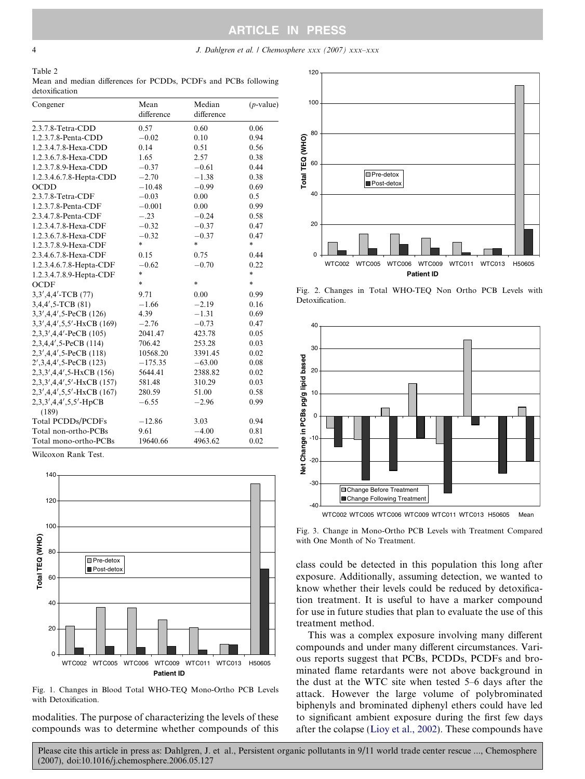ARTICLE IN PRESS

## <span id="page-3-0"></span>4 J. Dahlgren et al. / Chemosphere xxx (2007) xxx–xxx

Table 2 Mean and median differences for PCDDs, PCDFs and PCBs following detoxification

| Congener                  | Mean<br>difference | Median<br>difference | $(p$ -value) |
|---------------------------|--------------------|----------------------|--------------|
| 2.3.7.8-Tetra-CDD         | 0.57               | 0.60                 | 0.06         |
| 1.2.3.7.8-Penta-CDD       | $-0.02$            | 0.10                 | 0.94         |
| 1.2.3.4.7.8-Hexa-CDD      | 0.14               | 0.51                 | 0.56         |
| 1.2.3.6.7.8-Hexa-CDD      | 1.65               | 2.57                 | 0.38         |
| 1.2.3.7.8.9-Hexa-CDD      | $-0.37$            | $-0.61$              | 0.44         |
| 1.2.3.4.6.7.8-Hepta-CDD   | $-2.70$            | $-1.38$              | 0.38         |
| <b>OCDD</b>               | $-10.48$           | $-0.99$              | 0.69         |
| 2.3.7.8-Tetra-CDF         | $-0.03$            | 0.00                 | 0.5          |
| 1.2.3.7.8-Penta-CDF       | $-0.001$           | 0.00                 | 0.99         |
| 2.3.4.7.8-Penta-CDF       | $-.23$             | $-0.24$              | 0.58         |
| 1.2.3.4.7.8-Hexa-CDF      | $-0.32$            | $-0.37$              | 0.47         |
| 1.2.3.6.7.8-Hexa-CDF      | $-0.32$            | $-0.37$              | 0.47         |
| 1.2.3.7.8.9-Hexa-CDF      | $\ast$             | ÷.                   | $\ast$       |
| 2.3.4.6.7.8-Hexa-CDF      | 0.15               | 0.75                 | 0.44         |
| 1.2.3.4.6.7.8-Hepta-CDF   | $-0.62$            | $-0.70$              | 0.22         |
| 1.2.3.4.7.8.9-Hepta-CDF   | $\ast$             |                      | $\ast$       |
| <b>OCDF</b>               | $\ast$             | $\ast$               | $\ast$       |
| 3,3',4,4'-TCB (77)        | 9.71               | 0.00                 | 0.99         |
| 3,4,4',5-TCB (81)         | $-1.66$            | $-2.19$              | 0.16         |
| $3,3',4,4',5$ -PeCB (126) | 4.39               | $-1.31$              | 0.69         |
| 3,3',4,4',5,5'-HxCB (169) | $-2.76$            | $-0.73$              | 0.47         |
| $2,3,3',4,4'-PeCB$ (105)  | 2041.47            | 423.78               | 0.05         |
| 2,3,4,4',5-PeCB (114)     | 706.42             | 253.28               | 0.03         |
| $2,3',4,4',5$ -PeCB (118) | 10568.20           | 3391.45              | 0.02         |
| $2',3,4,4',5$ -PeCB (123) | $-175.35$          | $-63.00$             | 0.08         |
| 2,3,3',4,4',5-HxCB (156)  | 5644.41            | 2388.82              | 0.02         |
| 2,3,3',4,4',5'-HxCB (157) | 581.48             | 310.29               | 0.03         |
| 2,3',4,4',5,5'-HxCB (167) | 280.59             | 51.00                | 0.58         |
| 2,3,3',4,4',5,5'-HpCB     | $-6.55$            | $-2.96$              | 0.99         |
| (189)                     |                    |                      |              |
| <b>Total PCDDs/PCDFs</b>  | $-12.86$           | 3.03                 | 0.94         |
| Total non-ortho-PCBs      | 9.61               | $-4.00$              | 0.81         |
| Total mono-ortho-PCBs     | 19640.66           | 4963.62              | 0.02         |

Wilcoxon Rank Test.



Fig. 1. Changes in Blood Total WHO-TEQ Mono-Ortho PCB Levels with Detoxification.

modalities. The purpose of characterizing the levels of these compounds was to determine whether compounds of this



Fig. 2. Changes in Total WHO-TEQ Non Ortho PCB Levels with Detoxification.



Fig. 3. Change in Mono-Ortho PCB Levels with Treatment Compared with One Month of No Treatment.

class could be detected in this population this long after exposure. Additionally, assuming detection, we wanted to know whether their levels could be reduced by detoxification treatment. It is useful to have a marker compound for use in future studies that plan to evaluate the use of this treatment method.

This was a complex exposure involving many different compounds and under many different circumstances. Various reports suggest that PCBs, PCDDs, PCDFs and brominated flame retardants were not above background in the dust at the WTC site when tested 5–6 days after the attack. However the large volume of polybrominated biphenyls and brominated diphenyl ethers could have led to significant ambient exposure during the first few days after the colapse ([Lioy et al., 2002](#page-5-0)). These compounds have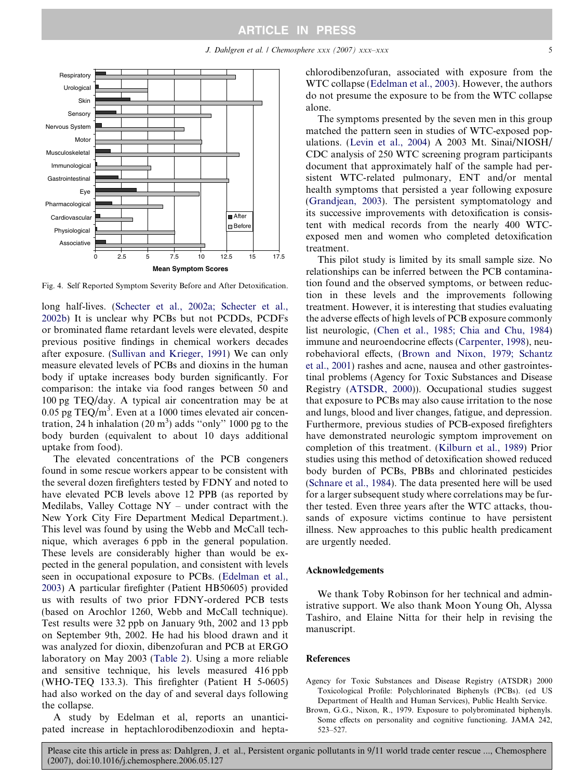<span id="page-4-0"></span>

Fig. 4. Self Reported Symptom Severity Before and After Detoxification.

long half-lives. ([Schecter et al., 2002a; Schecter et al.,](#page-5-0) [2002b\)](#page-5-0) It is unclear why PCBs but not PCDDs, PCDFs or brominated flame retardant levels were elevated, despite previous positive findings in chemical workers decades after exposure. ([Sullivan and Krieger, 1991](#page-5-0)) We can only measure elevated levels of PCBs and dioxins in the human body if uptake increases body burden significantly. For comparison: the intake via food ranges between 50 and 100 pg TEQ/day. A typical air concentration may be at  $0.05$  pg TEQ/m<sup>3</sup>. Even at a 1000 times elevated air concentration, 24 h inhalation  $(20 \text{ m}^3)$  adds "only" 1000 pg to the body burden (equivalent to about 10 days additional uptake from food).

The elevated concentrations of the PCB congeners found in some rescue workers appear to be consistent with the several dozen firefighters tested by FDNY and noted to have elevated PCB levels above 12 PPB (as reported by Medilabs, Valley Cottage NY – under contract with the New York City Fire Department Medical Department.). This level was found by using the Webb and McCall technique, which averages 6 ppb in the general population. These levels are considerably higher than would be expected in the general population, and consistent with levels seen in occupational exposure to PCBs. [\(Edelman et al.,](#page-5-0) [2003](#page-5-0)) A particular firefighter (Patient HB50605) provided us with results of two prior FDNY-ordered PCB tests (based on Arochlor 1260, Webb and McCall technique). Test results were 32 ppb on January 9th, 2002 and 13 ppb on September 9th, 2002. He had his blood drawn and it was analyzed for dioxin, dibenzofuran and PCB at ERGO laboratory on May 2003 ([Table 2](#page-3-0)). Using a more reliable and sensitive technique, his levels measured 416 ppb (WHO-TEQ 133.3). This firefighter (Patient H 5-0605) had also worked on the day of and several days following the collapse.

A study by Edelman et al, reports an unanticipated increase in heptachlorodibenzodioxin and heptachlorodibenzofuran, associated with exposure from the WTC collapse [\(Edelman et al., 2003\)](#page-5-0). However, the authors do not presume the exposure to be from the WTC collapse alone.

The symptoms presented by the seven men in this group matched the pattern seen in studies of WTC-exposed populations. [\(Levin et al., 2004](#page-5-0)) A 2003 Mt. Sinai/NIOSH/ CDC analysis of 250 WTC screening program participants document that approximately half of the sample had persistent WTC-related pulmonary, ENT and/or mental health symptoms that persisted a year following exposure ([Grandjean, 2003\)](#page-5-0). The persistent symptomatology and its successive improvements with detoxification is consistent with medical records from the nearly 400 WTCexposed men and women who completed detoxification treatment.

This pilot study is limited by its small sample size. No relationships can be inferred between the PCB contamination found and the observed symptoms, or between reduction in these levels and the improvements following treatment. However, it is interesting that studies evaluating the adverse effects of high levels of PCB exposure commonly list neurologic, [\(Chen et al., 1985; Chia and Chu, 1984](#page-5-0)) immune and neuroendocrine effects [\(Carpenter, 1998](#page-5-0)), neurobehavioral effects, (Brown and Nixon, 1979; Schantz et al., 2001) rashes and acne, nausea and other gastrointestinal problems (Agency for Toxic Substances and Disease Registry (ATSDR, 2000)). Occupational studies suggest that exposure to PCBs may also cause irritation to the nose and lungs, blood and liver changes, fatigue, and depression. Furthermore, previous studies of PCB-exposed firefighters have demonstrated neurologic symptom improvement on completion of this treatment. ([Kilburn et al., 1989](#page-5-0)) Prior studies using this method of detoxification showed reduced body burden of PCBs, PBBs and chlorinated pesticides ([Schnare et al., 1984](#page-5-0)). The data presented here will be used for a larger subsequent study where correlations may be further tested. Even three years after the WTC attacks, thousands of exposure victims continue to have persistent illness. New approaches to this public health predicament are urgently needed.

#### Acknowledgements

We thank Toby Robinson for her technical and administrative support. We also thank Moon Young Oh, Alyssa Tashiro, and Elaine Nitta for their help in revising the manuscript.

#### References

- Agency for Toxic Substances and Disease Registry (ATSDR) 2000 Toxicological Profile: Polychlorinated Biphenyls (PCBs). (ed US Department of Health and Human Services), Public Health Service.
- Brown, G.G., Nixon, R., 1979. Exposure to polybrominated biphenyls. Some effects on personality and cognitive functioning. JAMA 242, 523–527.